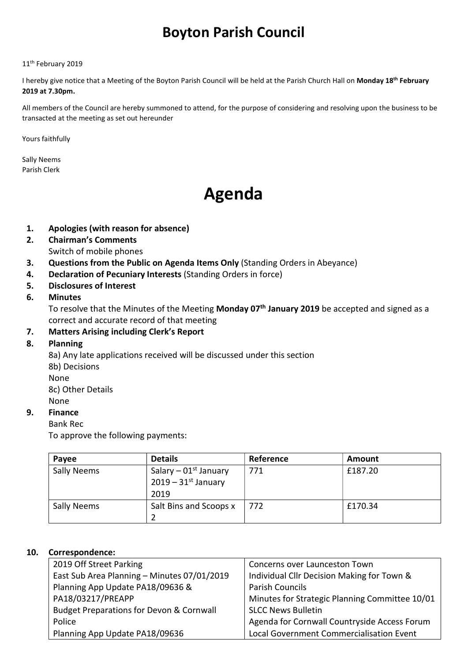# Boyton Parish Council

#### 11<sup>th</sup> February 2019

I hereby give notice that a Meeting of the Boyton Parish Council will be held at the Parish Church Hall on Monday 18<sup>th</sup> February 2019 at 7.30pm.

All members of the Council are hereby summoned to attend, for the purpose of considering and resolving upon the business to be transacted at the meeting as set out hereunder

Yours faithfully

Sally Neems Parish Clerk

# Agenda

- 1. Apologies (with reason for absence)
- 2. Chairman's Comments Switch of mobile phones
- 3. Questions from the Public on Agenda Items Only (Standing Orders in Abeyance)
- 4. Declaration of Pecuniary Interests (Standing Orders in force)
- 5. Disclosures of Interest

#### 6. Minutes

To resolve that the Minutes of the Meeting Monday 07<sup>th</sup> January 2019 be accepted and signed as a correct and accurate record of that meeting

### 7. Matters Arising including Clerk's Report

#### 8. Planning

8a) Any late applications received will be discussed under this section

8b) Decisions

None

8c) Other Details None

### 9. Finance

#### Bank Rec

To approve the following payments:

| Payee              | <b>Details</b>                                                       | Reference | Amount  |
|--------------------|----------------------------------------------------------------------|-----------|---------|
| <b>Sally Neems</b> | Salary – $01st$ January<br>$2019 - 31$ <sup>st</sup> January<br>2019 | 771       | £187.20 |
| <b>Sally Neems</b> | Salt Bins and Scoops x                                               | 772       | £170.34 |

#### 10. Correspondence:

| 2019 Off Street Parking                     | Concerns over Launceston Town                  |  |
|---------------------------------------------|------------------------------------------------|--|
| East Sub Area Planning - Minutes 07/01/2019 | Individual Cllr Decision Making for Town &     |  |
| Planning App Update PA18/09636 &            | <b>Parish Councils</b>                         |  |
| PA18/03217/PREAPP                           | Minutes for Strategic Planning Committee 10/01 |  |
| Budget Preparations for Devon & Cornwall    | <b>SLCC News Bulletin</b>                      |  |
| Police                                      | Agenda for Cornwall Countryside Access Forum   |  |
| Planning App Update PA18/09636              | Local Government Commercialisation Event       |  |